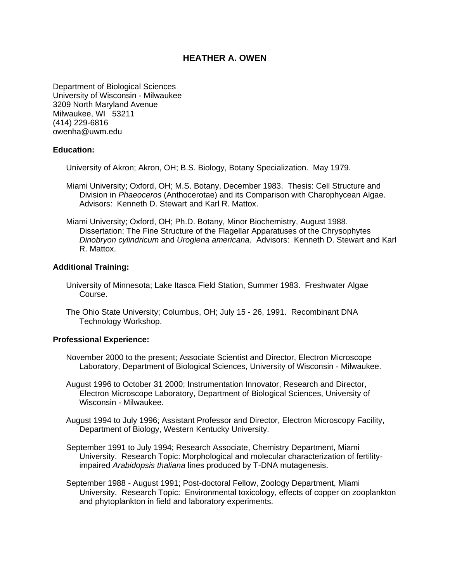# **HEATHER A. OWEN**

Department of Biological Sciences University of Wisconsin - Milwaukee 3209 North Maryland Avenue Milwaukee, WI 53211 (414) 229-6816 owenha@uwm.edu

#### **Education:**

University of Akron; Akron, OH; B.S. Biology, Botany Specialization. May 1979.

- Miami University; Oxford, OH; M.S. Botany, December 1983. Thesis: Cell Structure and Division in *Phaeoceros* (Anthocerotae) and its Comparison with Charophycean Algae. Advisors: Kenneth D. Stewart and Karl R. Mattox.
- Miami University; Oxford, OH; Ph.D. Botany, Minor Biochemistry, August 1988. Dissertation: The Fine Structure of the Flagellar Apparatuses of the Chrysophytes *Dinobryon cylindricum* and *Uroglena americana*. Advisors: Kenneth D. Stewart and Karl R. Mattox.

#### **Additional Training:**

- University of Minnesota; Lake Itasca Field Station, Summer 1983. Freshwater Algae Course.
- The Ohio State University; Columbus, OH; July 15 26, 1991. Recombinant DNA Technology Workshop.

#### **Professional Experience:**

- November 2000 to the present; Associate Scientist and Director, Electron Microscope Laboratory, Department of Biological Sciences, University of Wisconsin - Milwaukee.
- August 1996 to October 31 2000; Instrumentation Innovator, Research and Director, Electron Microscope Laboratory, Department of Biological Sciences, University of Wisconsin - Milwaukee.
- August 1994 to July 1996; Assistant Professor and Director, Electron Microscopy Facility, Department of Biology, Western Kentucky University.
- September 1991 to July 1994; Research Associate, Chemistry Department, Miami University. Research Topic: Morphological and molecular characterization of fertilityimpaired *Arabidopsis thaliana* lines produced by T-DNA mutagenesis.
- September 1988 August 1991; Post-doctoral Fellow, Zoology Department, Miami University. Research Topic: Environmental toxicology, effects of copper on zooplankton and phytoplankton in field and laboratory experiments.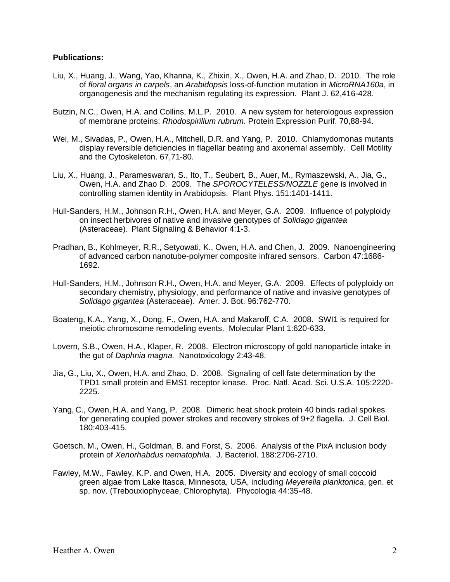## **Publications:**

- Liu, X., Huang, J., Wang, Yao, Khanna, K., Zhixin, X., Owen, H.A. and Zhao, D. 2010. The role of *floral organs in carpels*, an *Arabidopsis* loss-of-function mutation in *MicroRNA160a*, in organogenesis and the mechanism regulating its expression. Plant J. 62,416-428.
- Butzin, N.C., Owen, H.A. and Collins, M.L.P. 2010. A new system for heterologous expression of membrane proteins: *Rhodospirillum rubrum*. Protein Expression Purif. 70,88-94.
- Wei, M., Sivadas, P., Owen, H.A., Mitchell, D.R. and Yang, P. 2010. Chlamydomonas mutants display reversible deficiencies in flagellar beating and axonemal assembly. Cell Motility and the Cytoskeleton. 67,71-80.
- Liu, X., Huang, J., Parameswaran, S., Ito, T., Seubert, B., Auer, M., Rymaszewski, A., Jia, G., Owen, H.A. and Zhao D. 2009. The *SPOROCYTELESS/NOZZLE* gene is involved in controlling stamen identity in Arabidopsis. Plant Phys. 151:1401-1411.
- Hull-Sanders, H.M., Johnson R.H., Owen, H.A. and Meyer, G.A. 2009. Influence of polyploidy on insect herbivores of native and invasive genotypes of *Solidago gigantea* (Asteraceae). Plant Signaling & Behavior 4:1-3.
- Pradhan, B., Kohlmeyer, R.R., Setyowati, K., Owen, H.A. and Chen, J. 2009. Nanoengineering of advanced carbon nanotube-polymer composite infrared sensors. Carbon 47:1686- 1692.
- Hull-Sanders, H.M., Johnson R.H., Owen, H.A. and Meyer, G.A. 2009. Effects of polyploidy on secondary chemistry, physiology, and performance of native and invasive genotypes of *Solidago gigantea* (Asteraceae). Amer. J. Bot. 96:762-770.
- Boateng, K.A., Yang, X., Dong, F., Owen, H.A. and Makaroff, C.A. 2008. SWI1 is required for meiotic chromosome remodeling events. Molecular Plant 1:620-633.
- Lovern, S.B., Owen, H.A., Klaper, R. 2008. Electron microscopy of gold nanoparticle intake in the gut of *Daphnia magna.* Nanotoxicology 2:43-48.
- Jia, G., Liu, X., Owen, H.A. and Zhao, D. 2008. Signaling of cell fate determination by the TPD1 small protein and EMS1 receptor kinase. Proc. Natl. Acad. Sci. U.S.A. 105:2220- 2225.
- Yang, C., Owen, H.A. and Yang, P. 2008. Dimeric heat shock protein 40 binds radial spokes for generating coupled power strokes and recovery strokes of 9+2 flagella. J. Cell Biol. 180:403-415.
- Goetsch, M., Owen, H., Goldman, B. and Forst, S. 2006. Analysis of the PixA inclusion body protein of *Xenorhabdus nematophila*. J. Bacteriol. 188:2706-2710.
- Fawley, M.W., Fawley, K.P. and Owen, H.A. 2005. Diversity and ecology of small coccoid green algae from Lake Itasca, Minnesota, USA, including *Meyerella planktonica*, gen. et sp. nov. (Trebouxiophyceae, Chlorophyta). Phycologia 44:35-48.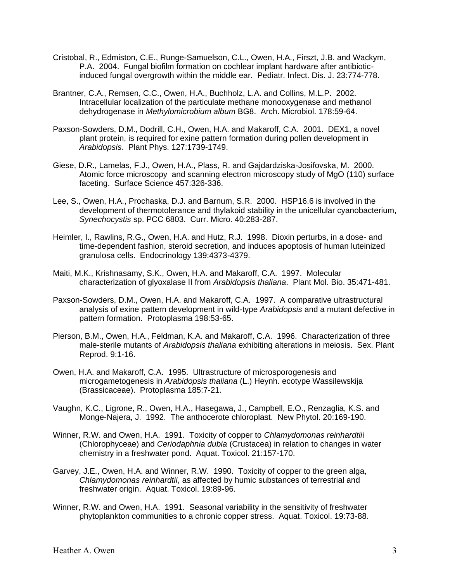- Cristobal, R., Edmiston, C.E., Runge-Samuelson, C.L., Owen, H.A., Firszt, J.B. and Wackym, P.A. 2004. Fungal biofilm formation on cochlear implant hardware after antibioticinduced fungal overgrowth within the middle ear. Pediatr. Infect. Dis. J. 23:774-778.
- Brantner, C.A., Remsen, C.C., Owen, H.A., Buchholz, L.A. and Collins, M.L.P. 2002. Intracellular localization of the particulate methane monooxygenase and methanol dehydrogenase in *Methylomicrobium album* BG8. Arch. Microbiol. 178:59-64.
- Paxson-Sowders, D.M., Dodrill, C.H., Owen, H.A. and Makaroff, C.A. 2001. DEX1, a novel plant protein, is required for exine pattern formation during pollen development in *Arabidopsis*. Plant Phys. 127:1739-1749.
- Giese, D.R., Lamelas, F.J., Owen, H.A., Plass, R. and Gajdardziska-Josifovska, M. 2000. Atomic force microscopy and scanning electron microscopy study of MgO (110) surface faceting. Surface Science 457:326-336.
- Lee, S., Owen, H.A., Prochaska, D.J. and Barnum, S.R. 2000. HSP16.6 is involved in the development of thermotolerance and thylakoid stability in the unicellular cyanobacterium, *Synechocystis* sp. PCC 6803. Curr. Micro. 40:283-287.
- Heimler, I., Rawlins, R.G., Owen, H.A. and Hutz, R.J. 1998. Dioxin perturbs, in a dose- and time-dependent fashion, steroid secretion, and induces apoptosis of human luteinized granulosa cells. Endocrinology 139:4373-4379.
- Maiti, M.K., Krishnasamy, S.K., Owen, H.A. and Makaroff, C.A. 1997. Molecular characterization of glyoxalase II from *Arabidopsis thaliana*. Plant Mol. Bio. 35:471-481.
- Paxson-Sowders, D.M., Owen, H.A. and Makaroff, C.A. 1997. A comparative ultrastructural analysis of exine pattern development in wild-type *Arabidopsis* and a mutant defective in pattern formation. Protoplasma 198:53-65.
- Pierson, B.M., Owen, H.A., Feldman, K.A. and Makaroff, C.A. 1996. Characterization of three male-sterile mutants of *Arabidopsis thaliana* exhibiting alterations in meiosis. Sex. Plant Reprod. 9:1-16.
- Owen, H.A. and Makaroff, C.A. 1995. Ultrastructure of microsporogenesis and microgametogenesis in *Arabidopsis thaliana* (L.) Heynh. ecotype Wassilewskija (Brassicaceae). Protoplasma 185:7-21.
- Vaughn, K.C., Ligrone, R., Owen, H.A., Hasegawa, J., Campbell, E.O., Renzaglia, K.S. and Monge-Najera, J. 1992. The anthocerote chloroplast. New Phytol. 20:169-190.
- Winner, R.W. and Owen, H.A. 1991. Toxicity of copper to *Chlamydomonas reinhardtii*i (Chlorophyceae) and *Ceriodaphnia dubia* (Crustacea) in relation to changes in water chemistry in a freshwater pond. Aquat. Toxicol. 21:157-170.
- Garvey, J.E., Owen, H.A. and Winner, R.W. 1990. Toxicity of copper to the green alga, *Chlamydomonas reinhardtii*, as affected by humic substances of terrestrial and freshwater origin. Aquat. Toxicol. 19:89-96.
- Winner, R.W. and Owen, H.A. 1991. Seasonal variability in the sensitivity of freshwater phytoplankton communities to a chronic copper stress. Aquat. Toxicol. 19:73-88.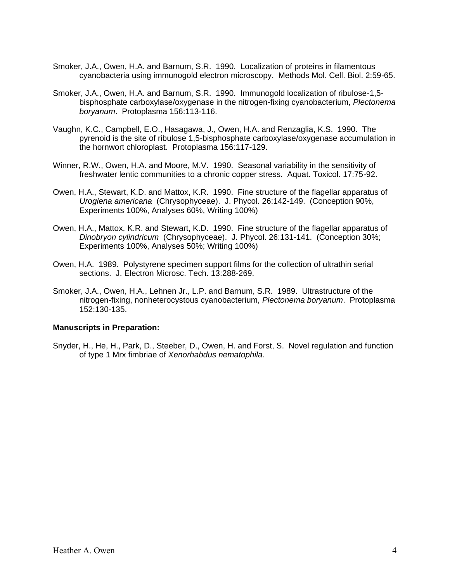- Smoker, J.A., Owen, H.A. and Barnum, S.R. 1990. Localization of proteins in filamentous cyanobacteria using immunogold electron microscopy. Methods Mol. Cell. Biol. 2:59-65.
- Smoker, J.A., Owen, H.A. and Barnum, S.R. 1990. Immunogold localization of ribulose-1,5 bisphosphate carboxylase/oxygenase in the nitrogen-fixing cyanobacterium, *Plectonema boryanum*. Protoplasma 156:113-116.
- Vaughn, K.C., Campbell, E.O., Hasagawa, J., Owen, H.A. and Renzaglia, K.S. 1990. The pyrenoid is the site of ribulose 1,5-bisphosphate carboxylase/oxygenase accumulation in the hornwort chloroplast. Protoplasma 156:117-129.
- Winner, R.W., Owen, H.A. and Moore, M.V. 1990. Seasonal variability in the sensitivity of freshwater lentic communities to a chronic copper stress. Aquat. Toxicol. 17:75-92.
- Owen, H.A., Stewart, K.D. and Mattox, K.R. 1990. Fine structure of the flagellar apparatus of *Uroglena americana* (Chrysophyceae). J. Phycol. 26:142-149. (Conception 90%, Experiments 100%, Analyses 60%, Writing 100%)
- Owen, H.A., Mattox, K.R. and Stewart, K.D. 1990. Fine structure of the flagellar apparatus of *Dinobryon cylindricum* (Chrysophyceae). J. Phycol. 26:131-141. (Conception 30%; Experiments 100%, Analyses 50%; Writing 100%)
- Owen, H.A. 1989. Polystyrene specimen support films for the collection of ultrathin serial sections. J. Electron Microsc. Tech. 13:288-269.
- Smoker, J.A., Owen, H.A., Lehnen Jr., L.P. and Barnum, S.R. 1989. Ultrastructure of the nitrogen-fixing, nonheterocystous cyanobacterium, *Plectonema boryanum*. Protoplasma 152:130-135.

## **Manuscripts in Preparation:**

Snyder, H., He, H., Park, D., Steeber, D., Owen, H. and Forst, S. Novel regulation and function of type 1 Mrx fimbriae of *Xenorhabdus nematophila*.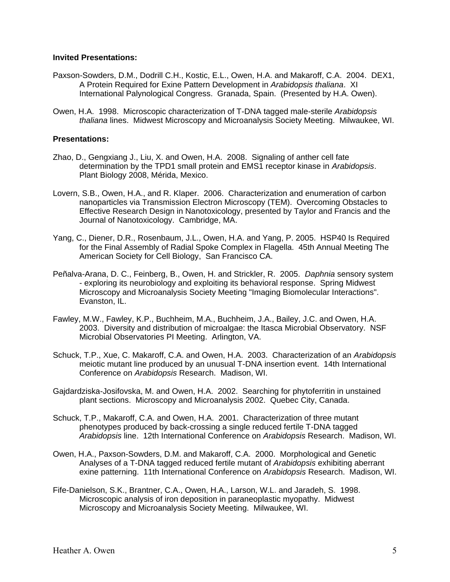## **Invited Presentations:**

- Paxson-Sowders, D.M., Dodrill C.H., Kostic, E.L., Owen, H.A. and Makaroff, C.A. 2004. DEX1, A Protein Required for Exine Pattern Development in *Arabidopsis thaliana*. XI International Palynological Congress. Granada, Spain. (Presented by H.A. Owen).
- Owen, H.A. 1998. Microscopic characterization of T-DNA tagged male-sterile *Arabidopsis thaliana* lines. Midwest Microscopy and Microanalysis Society Meeting. Milwaukee, WI.

## **Presentations:**

- Zhao, D., Gengxiang J., Liu, X. and Owen, H.A. 2008. Signaling of anther cell fate determination by the TPD1 small protein and EMS1 receptor kinase in *Arabidopsis*. Plant Biology 2008, Mérida, Mexico.
- Lovern, S.B., Owen, H.A., and R. Klaper. 2006. Characterization and enumeration of carbon nanoparticles via Transmission Electron Microscopy (TEM). Overcoming Obstacles to Effective Research Design in Nanotoxicology, presented by Taylor and Francis and the Journal of Nanotoxicology. Cambridge, MA.
- Yang, C., Diener, D.R., Rosenbaum, J.L., Owen, H.A. and Yang, P. 2005. HSP40 Is Required for the Final Assembly of Radial Spoke Complex in Flagella. 45th Annual Meeting The American Society for Cell Biology, San Francisco CA.
- Peñalva-Arana, D. C., Feinberg, B., Owen, H. and Strickler, R. 2005. *Daphnia* sensory system - exploring its neurobiology and exploiting its behavioral response. Spring Midwest Microscopy and Microanalysis Society Meeting "Imaging Biomolecular Interactions". Evanston, IL.
- Fawley, M.W., Fawley, K.P., Buchheim, M.A., Buchheim, J.A., Bailey, J.C. and Owen, H.A. 2003. Diversity and distribution of microalgae: the Itasca Microbial Observatory. NSF Microbial Observatories PI Meeting. Arlington, VA.
- Schuck, T.P., Xue, C. Makaroff, C.A. and Owen, H.A. 2003. Characterization of an *Arabidopsis*  meiotic mutant line produced by an unusual T-DNA insertion event. 14th International Conference on *Arabidopsis* Research. Madison, WI.
- Gajdardziska-Josifovska, M. and Owen, H.A. 2002. Searching for phytoferritin in unstained plant sections. Microscopy and Microanalysis 2002. Quebec City, Canada.
- Schuck, T.P., Makaroff, C.A. and Owen, H.A. 2001. Characterization of three mutant phenotypes produced by back-crossing a single reduced fertile T-DNA tagged *Arabidopsis* line. 12th International Conference on *Arabidopsis* Research. Madison, WI.
- Owen, H.A., Paxson-Sowders, D.M. and Makaroff, C.A. 2000. Morphological and Genetic Analyses of a T-DNA tagged reduced fertile mutant of *Arabidopsis* exhibiting aberrant exine patterning. 11th International Conference on *Arabidopsis* Research. Madison, WI.
- Fife-Danielson, S.K., Brantner, C.A., Owen, H.A., Larson, W.L. and Jaradeh, S. 1998. Microscopic analysis of iron deposition in paraneoplastic myopathy. Midwest Microscopy and Microanalysis Society Meeting. Milwaukee, WI.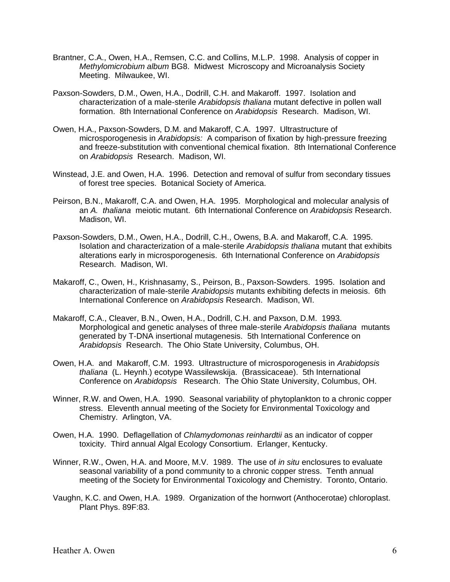- Brantner, C.A., Owen, H.A., Remsen, C.C. and Collins, M.L.P. 1998. Analysis of copper in *Methylomicrobium album* BG8. Midwest Microscopy and Microanalysis Society Meeting. Milwaukee, WI.
- Paxson-Sowders, D.M., Owen, H.A., Dodrill, C.H. and Makaroff. 1997. Isolation and characterization of a male-sterile *Arabidopsis thaliana* mutant defective in pollen wall formation. 8th International Conference on *Arabidopsis* Research. Madison, WI.
- Owen, H.A., Paxson-Sowders, D.M. and Makaroff, C.A. 1997. Ultrastructure of microsporogenesis in *Arabidopsis:* A comparison of fixation by high-pressure freezing and freeze-substitution with conventional chemical fixation. 8th International Conference on *Arabidopsis* Research. Madison, WI.
- Winstead, J.E. and Owen, H.A. 1996. Detection and removal of sulfur from secondary tissues of forest tree species. Botanical Society of America.
- Peirson, B.N., Makaroff, C.A. and Owen, H.A. 1995. Morphological and molecular analysis of an *A. thaliana* meiotic mutant. 6th International Conference on *Arabidopsis* Research. Madison, WI.
- Paxson-Sowders, D.M., Owen, H.A., Dodrill, C.H., Owens, B.A. and Makaroff, C.A. 1995. Isolation and characterization of a male-sterile *Arabidopsis thaliana* mutant that exhibits alterations early in microsporogenesis. 6th International Conference on *Arabidopsis* Research. Madison, WI.
- Makaroff, C., Owen, H., Krishnasamy, S., Peirson, B., Paxson-Sowders. 1995. Isolation and characterization of male-sterile *Arabidopsis* mutants exhibiting defects in meiosis. 6th International Conference on *Arabidopsis* Research. Madison, WI.
- Makaroff, C.A., Cleaver, B.N., Owen, H.A., Dodrill, C.H. and Paxson, D.M. 1993. Morphological and genetic analyses of three male-sterile *Arabidopsis thaliana* mutants generated by T-DNA insertional mutagenesis. 5th International Conference on *Arabidopsis* Research. The Ohio State University, Columbus, OH.
- Owen, H.A. and Makaroff, C.M. 1993. Ultrastructure of microsporogenesis in *Arabidopsis thaliana* (L. Heynh.) ecotype Wassilewskija. (Brassicaceae). 5th International Conference on *Arabidopsis* Research. The Ohio State University, Columbus, OH.
- Winner, R.W. and Owen, H.A. 1990. Seasonal variability of phytoplankton to a chronic copper stress. Eleventh annual meeting of the Society for Environmental Toxicology and Chemistry. Arlington, VA.
- Owen, H.A. 1990. Deflagellation of *Chlamydomonas reinhardtii* as an indicator of copper toxicity. Third annual Algal Ecology Consortium. Erlanger, Kentucky.
- Winner, R.W., Owen, H.A. and Moore, M.V. 1989. The use of *in situ* enclosures to evaluate seasonal variability of a pond community to a chronic copper stress. Tenth annual meeting of the Society for Environmental Toxicology and Chemistry. Toronto, Ontario.
- Vaughn, K.C. and Owen, H.A. 1989. Organization of the hornwort (Anthocerotae) chloroplast. Plant Phys. 89F:83.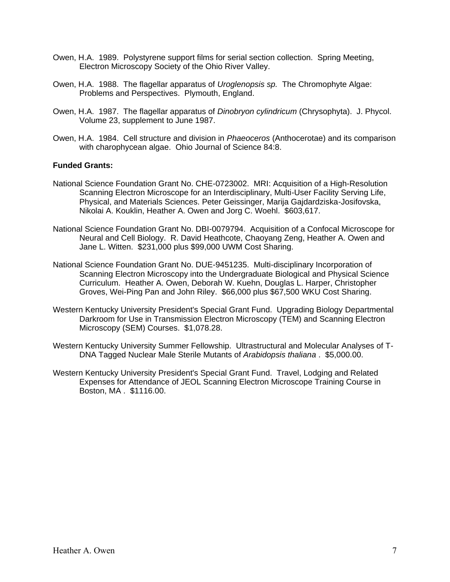- Owen, H.A. 1989. Polystyrene support films for serial section collection. Spring Meeting, Electron Microscopy Society of the Ohio River Valley.
- Owen, H.A. 1988. The flagellar apparatus of *Uroglenopsis sp.* The Chromophyte Algae: Problems and Perspectives. Plymouth, England.
- Owen, H.A. 1987. The flagellar apparatus of *Dinobryon cylindricum* (Chrysophyta). J. Phycol. Volume 23, supplement to June 1987.
- Owen, H.A. 1984. Cell structure and division in *Phaeoceros* (Anthocerotae) and its comparison with charophycean algae. Ohio Journal of Science 84:8.

## **Funded Grants:**

- National Science Foundation Grant No. CHE-0723002. MRI: Acquisition of a High-Resolution Scanning Electron Microscope for an Interdisciplinary, Multi-User Facility Serving Life, Physical, and Materials Sciences. Peter Geissinger, Marija Gajdardziska-Josifovska, Nikolai A. Kouklin, Heather A. Owen and Jorg C. Woehl. \$603,617.
- National Science Foundation Grant No. DBI-0079794. Acquisition of a Confocal Microscope for Neural and Cell Biology. R. David Heathcote, Chaoyang Zeng, Heather A. Owen and Jane L. Witten. \$231,000 plus \$99,000 UWM Cost Sharing.
- National Science Foundation Grant No. DUE-9451235. Multi-disciplinary Incorporation of Scanning Electron Microscopy into the Undergraduate Biological and Physical Science Curriculum. Heather A. Owen, Deborah W. Kuehn, Douglas L. Harper, Christopher Groves, Wei-Ping Pan and John Riley. \$66,000 plus \$67,500 WKU Cost Sharing.
- Western Kentucky University President's Special Grant Fund. Upgrading Biology Departmental Darkroom for Use in Transmission Electron Microscopy (TEM) and Scanning Electron Microscopy (SEM) Courses. \$1,078.28.
- Western Kentucky University Summer Fellowship. Ultrastructural and Molecular Analyses of T-DNA Tagged Nuclear Male Sterile Mutants of *Arabidopsis thaliana* . \$5,000.00.
- Western Kentucky University President's Special Grant Fund. Travel, Lodging and Related Expenses for Attendance of JEOL Scanning Electron Microscope Training Course in Boston, MA . \$1116.00.